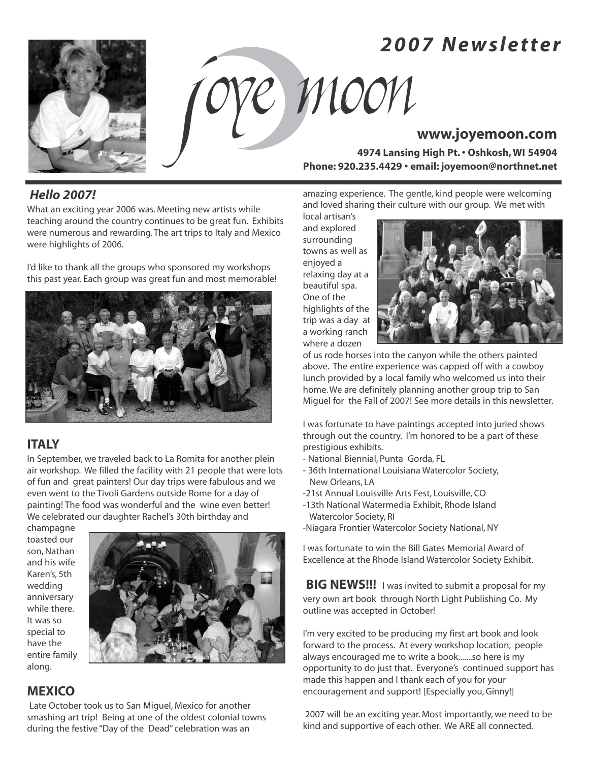# *2 0 0 7 N e w s l e t t e r*



# J oye Moon**www.joyemoon.com**

**4974 Lansing High Pt. • Oshkosh, WI 54904 Phone: 920.235.4429 • email: joyemoon@northnet.net**

# *Hello 2007!*

What an exciting year 2006 was. Meeting new artists while teaching around the country continues to be great fun. Exhibits were numerous and rewarding. The art trips to Italy and Mexico were highlights of 2006.

I'd like to thank all the groups who sponsored my workshops this past year. Each group was great fun and most memorable!



# **ITALY**

In September, we traveled back to La Romita for another plein air workshop. We filled the facility with 21 people that were lots of fun and great painters! Our day trips were fabulous and we even went to the Tivoli Gardens outside Rome for a day of painting! The food was wonderful and the wine even better! We celebrated our daughter Rachel's 30th birthday and

champagne toasted our son, Nathan and his wife Karen's, 5th wedding anniversary while there. It was so special to have the entire family along.



# **MEXICO**

Late October took us to San Miguel, Mexico for another smashing art trip! Being at one of the oldest colonial towns during the festive "Day of the Dead" celebration was an

amazing experience. The gentle, kind people were welcoming and loved sharing their culture with our group. We met with

local artisan's and explored surrounding towns as well as enjoyed a relaxing day at a beautiful spa. One of the highlights of the trip was a day at a working ranch where a dozen



of us rode horses into the canyon while the others painted above. The entire experience was capped off with a cowboy lunch provided by a local family who welcomed us into their home. We are definitely planning another group trip to San Miguel for the Fall of 2007! See more details in this newsletter.

I was fortunate to have paintings accepted into juried shows through out the country. I'm honored to be a part of these prestigious exhibits.

- National Biennial, Punta Gorda, FL
- 36th International Louisiana Watercolor Society, New Orleans, LA
- -21st Annual Louisville Arts Fest, Louisville, CO
- -13th National Watermedia Exhibit, Rhode Island Watercolor Society, RI
- -Niagara Frontier Watercolor Society National, NY

I was fortunate to win the Bill Gates Memorial Award of Excellence at the Rhode Island Watercolor Society Exhibit.

**BIG NEWS!!!** I was invited to submit a proposal for my very own art book through North Light Publishing Co. My outline was accepted in October!

I'm very excited to be producing my first art book and look forward to the process. At every workshop location, people always encouraged me to write a book.......so here is my opportunity to do just that. Everyone's continued support has made this happen and I thank each of you for your encouragement and support! [Especially you, Ginny!]

2007 will be an exciting year. Most importantly, we need to be kind and supportive of each other. We ARE all connected.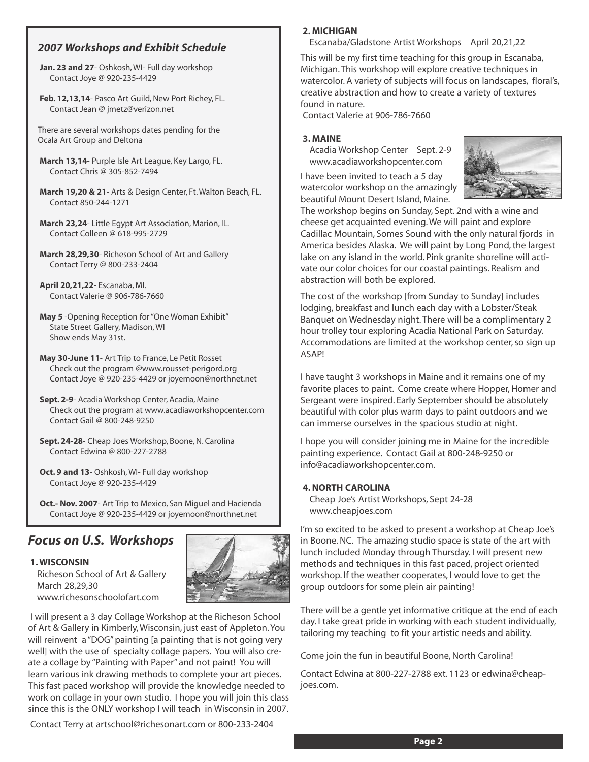### *2007 Workshops and Exhibit Schedule*

- **Jan. 23 and 27** Oshkosh, WI- Full day workshop Contact Joye @ 920-235-4429
- **Feb. 12,13,14** Pasco Art Guild, New Port Richey, FL. Contact Jean @ jmetz@verizon.net

There are several workshops dates pending for the Ocala Art Group and Deltona

- **March 13,14** Purple Isle Art League, Key Largo, FL. Contact Chris @ 305-852-7494
- **March 19,20 & 21** Arts & Design Center, Ft. Walton Beach, FL. Contact 850-244-1271
- **March 23,24** Little Egypt Art Association, Marion, IL. Contact Colleen @ 618-995-2729
- **March 28,29,30** Richeson School of Art and Gallery Contact Terry @ 800-233-2404
- **April 20,21,22** Escanaba, MI. Contact Valerie @ 906-786-7660
- **May 5** -Opening Reception for "One Woman Exhibit" State Street Gallery, Madison, WI Show ends May 31st.
- **May 30-June 11** Art Trip to France, Le Petit Rosset Check out the program @www.rousset-perigord.org Contact Joye @ 920-235-4429 or joyemoon@northnet.net
- **Sept. 2-9** Acadia Workshop Center, Acadia, Maine Check out the program at www.acadiaworkshopcenter.com Contact Gail @ 800-248-9250
- **Sept. 24-28** Cheap Joes Workshop, Boone, N. Carolina Contact Edwina @ 800-227-2788
- **Oct. 9 and 13** Oshkosh, WI- Full day workshop Contact Joye @ 920-235-4429

**Oct.- Nov. 2007**- Art Trip to Mexico, San Miguel and Hacienda Contact Joye @ 920-235-4429 or joyemoon@northnet.net

# *Focus on U.S. Workshops*

### **1. WISCONSIN**

Richeson School of Art & Gallery March 28,29,30 www.richesonschoolofart.com



I will present a 3 day Collage Workshop at the Richeson School of Art & Gallery in Kimberly, Wisconsin, just east of Appleton. You will reinvent a "DOG" painting [a painting that is not going very well] with the use of specialty collage papers. You will also create a collage by "Painting with Paper" and not paint! You will learn various ink drawing methods to complete your art pieces. This fast paced workshop will provide the knowledge needed to work on collage in your own studio. I hope you will join this class since this is the ONLY workshop I will teach in Wisconsin in 2007.

Contact Terry at artschool@richesonart.com or 800-233-2404

### **2. MICHIGAN**

Escanaba/Gladstone Artist Workshops April 20,21,22

This will be my first time teaching for this group in Escanaba, Michigan. This workshop will explore creative techniques in watercolor. A variety of subjects will focus on landscapes, floral's, creative abstraction and how to create a variety of textures found in nature.

Contact Valerie at 906-786-7660

### **3. MAINE**

Acadia Workshop Center Sept. 2-9 www.acadiaworkshopcenter.com

I have been invited to teach a 5 day watercolor workshop on the amazingly beautiful Mount Desert Island, Maine.



The workshop begins on Sunday, Sept. 2nd with a wine and cheese get acquainted evening. We will paint and explore Cadillac Mountain, Somes Sound with the only natural fjords in America besides Alaska. We will paint by Long Pond, the largest lake on any island in the world. Pink granite shoreline will activate our color choices for our coastal paintings. Realism and abstraction will both be explored.

The cost of the workshop [from Sunday to Sunday] includes lodging, breakfast and lunch each day with a Lobster/Steak Banquet on Wednesday night. There will be a complimentary 2 hour trolley tour exploring Acadia National Park on Saturday. Accommodations are limited at the workshop center, so sign up ASAP!

I have taught 3 workshops in Maine and it remains one of my favorite places to paint. Come create where Hopper, Homer and Sergeant were inspired. Early September should be absolutely beautiful with color plus warm days to paint outdoors and we can immerse ourselves in the spacious studio at night.

I hope you will consider joining me in Maine for the incredible painting experience. Contact Gail at 800-248-9250 or info@acadiaworkshopcenter.com.

### **4. NORTH CAROLINA**

Cheap Joe's Artist Workshops, Sept 24-28 www.cheapjoes.com

I'm so excited to be asked to present a workshop at Cheap Joe's in Boone. NC. The amazing studio space is state of the art with lunch included Monday through Thursday. I will present new methods and techniques in this fast paced, project oriented workshop. If the weather cooperates, I would love to get the group outdoors for some plein air painting!

There will be a gentle yet informative critique at the end of each day. I take great pride in working with each student individually, tailoring my teaching to fit your artistic needs and ability.

Come join the fun in beautiful Boone, North Carolina!

Contact Edwina at 800-227-2788 ext. 1123 or edwina@cheapjoes.com.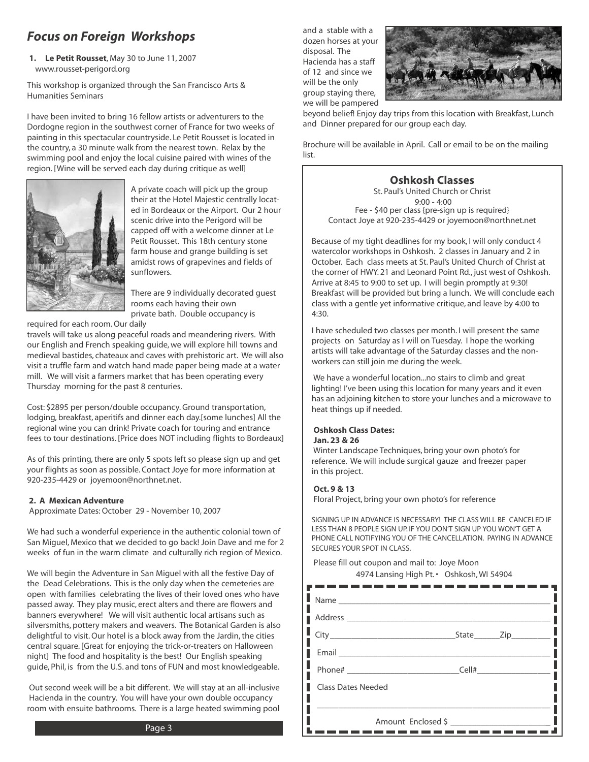# *Focus on Foreign Workshops*

**1. Le Petit Rousset**, May 30 to June 11, 2007 www.rousset-perigord.org

This workshop is organized through the San Francisco Arts & Humanities Seminars

I have been invited to bring 16 fellow artists or adventurers to the Dordogne region in the southwest corner of France for two weeks of painting in this spectacular countryside. Le Petit Rousset is located in the country, a 30 minute walk from the nearest town. Relax by the swimming pool and enjoy the local cuisine paired with wines of the region. [Wine will be served each day during critique as well]



A private coach will pick up the group their at the Hotel Majestic centrally located in Bordeaux or the Airport. Our 2 hour scenic drive into the Perigord will be capped off with a welcome dinner at Le Petit Rousset. This 18th century stone farm house and grange building is set amidst rows of grapevines and fields of sunflowers.

There are 9 individually decorated guest rooms each having their own private bath. Double occupancy is

required for each room. Our daily

travels will take us along peaceful roads and meandering rivers. With our English and French speaking guide, we will explore hill towns and medieval bastides, chateaux and caves with prehistoric art. We will also visit a truffle farm and watch hand made paper being made at a water mill. We will visit a farmers market that has been operating every Thursday morning for the past 8 centuries.

Cost: \$2895 per person/double occupancy. Ground transportation, lodging, breakfast, aperitifs and dinner each day.[some lunches] All the regional wine you can drink! Private coach for touring and entrance fees to tour destinations. [Price does NOT including flights to Bordeaux]

As of this printing, there are only 5 spots left so please sign up and get your flights as soon as possible. Contact Joye for more information at 920-235-4429 or joyemoon@northnet.net.

### **2. A Mexican Adventure**

Approximate Dates: October 29 - November 10, 2007

We had such a wonderful experience in the authentic colonial town of San Miguel, Mexico that we decided to go back! Join Dave and me for 2 weeks of fun in the warm climate and culturally rich region of Mexico.

We will begin the Adventure in San Miguel with all the festive Day of the Dead Celebrations. This is the only day when the cemeteries are open with families celebrating the lives of their loved ones who have passed away. They play music, erect alters and there are flowers and banners everywhere! We will visit authentic local artisans such as silversmiths, pottery makers and weavers. The Botanical Garden is also delightful to visit. Our hotel is a block away from the Jardin, the cities central square. [Great for enjoying the trick-or-treaters on Halloween night] The food and hospitality is the best! Our English speaking guide, Phil, is from the U.S. and tons of FUN and most knowledgeable.

Out second week will be a bit different. We will stay at an all-inclusive Hacienda in the country. You will have your own double occupancy room with ensuite bathrooms. There is a large heated swimming pool



beyond belief! Enjoy day trips from this location with Breakfast, Lunch and Dinner prepared for our group each day.

Brochure will be available in April. Call or email to be on the mailing list.

### **Oshkosh Classes**

St. Paul's United Church or Christ 9:00 - 4:00 Fee - \$40 per class {pre-sign up is required} Contact Joye at 920-235-4429 or joyemoon@northnet.net

Because of my tight deadlines for my book, I will only conduct 4 watercolor workshops in Oshkosh. 2 classes in January and 2 in October. Each class meets at St. Paul's United Church of Christ at the corner of HWY. 21 and Leonard Point Rd., just west of Oshkosh. Arrive at 8:45 to 9:00 to set up. I will begin promptly at 9:30! Breakfast will be provided but bring a lunch. We will conclude each class with a gentle yet informative critique, and leave by 4:00 to 4:30.

I have scheduled two classes per month. I will present the same projects on Saturday as I will on Tuesday. I hope the working artists will take advantage of the Saturday classes and the nonworkers can still join me during the week.

We have a wonderful location...no stairs to climb and great lighting! I've been using this location for many years and it even has an adjoining kitchen to store your lunches and a microwave to heat things up if needed.

### **Oshkosh Class Dates: Jan. 23 & 26**

Winter Landscape Techniques, bring your own photo's for reference. We will include surgical gauze and freezer paper in this project.

### **Oct. 9 & 13**

Floral Project, bring your own photo's for reference

SIGNING UP IN ADVANCE IS NECESSARY! THE CLASS WILL BE CANCELED IF LESS THAN 8 PEOPLE SIGN UP. IF YOU DON'T SIGN UP YOU WON'T GET A PHONE CALL NOTIFYING YOU OF THE CANCELLATION. PAYING IN ADVANCE SECURES YOUR SPOT IN CLASS.

Please fill out coupon and mail to: Joye Moon 4974 Lansing High Pt. • Oshkosh, WI 54904

| Name               |  |                                |
|--------------------|--|--------------------------------|
|                    |  |                                |
|                    |  | _State_________Zip____________ |
|                    |  |                                |
|                    |  |                                |
| Class Dates Needed |  |                                |
|                    |  |                                |
| Amount Enclosed \$ |  |                                |